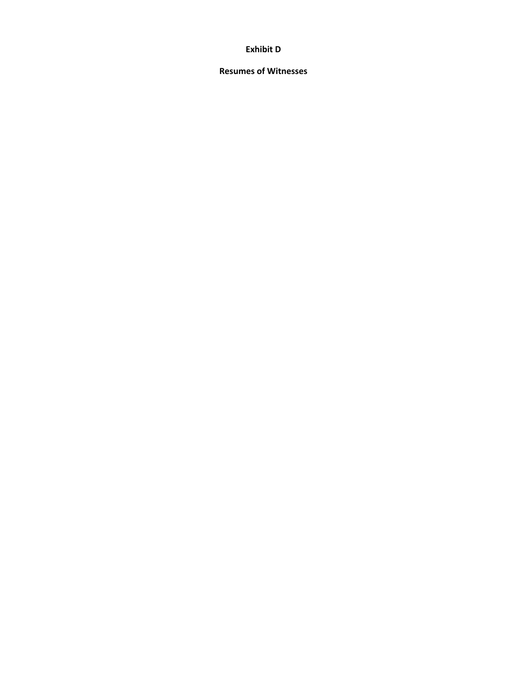### **Exhibit D**

### **Resumes of Witnesses**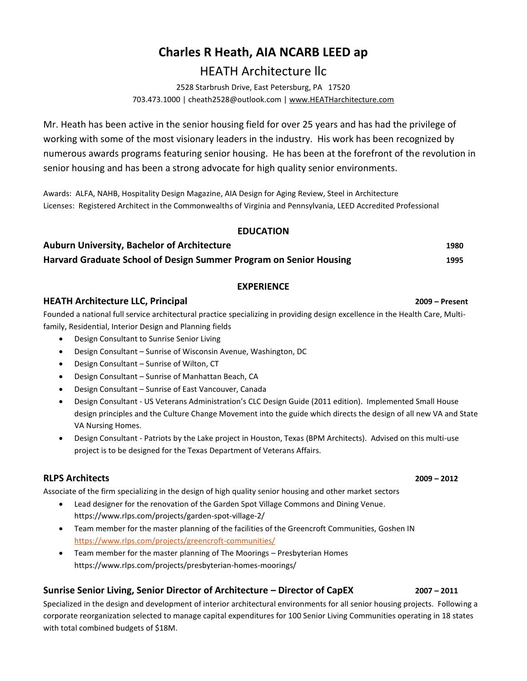## **Charles R Heath, AIA NCARB LEED ap**

## HEATH Architecture llc

2528 Starbrush Drive, East Petersburg, PA 17520 703.473.1000 | cheath2528@outlook.com | [www.HEATHarchitecture.com](http://www.heatharchitecture.com/)

Mr. Heath has been active in the senior housing field for over 25 years and has had the privilege of working with some of the most visionary leaders in the industry. His work has been recognized by numerous awards programs featuring senior housing. He has been at the forefront of the revolution in senior housing and has been a strong advocate for high quality senior environments.

Awards: ALFA, NAHB, Hospitality Design Magazine, AIA Design for Aging Review, Steel in Architecture Licenses: Registered Architect in the Commonwealths of Virginia and Pennsylvania, LEED Accredited Professional

### **EDUCATION**

| <b>Auburn University, Bachelor of Architecture</b>                 | 1980 |
|--------------------------------------------------------------------|------|
| Harvard Graduate School of Design Summer Program on Senior Housing | 1995 |

### **EXPERIENCE**

### **HEATH Architecture LLC, Principal 2009 – Present**

Founded a national full service architectural practice specializing in providing design excellence in the Health Care, Multifamily, Residential, Interior Design and Planning fields

- Design Consultant to Sunrise Senior Living
- Design Consultant Sunrise of Wisconsin Avenue, Washington, DC
- Design Consultant Sunrise of Wilton, CT
- Design Consultant Sunrise of Manhattan Beach, CA
- Design Consultant Sunrise of East Vancouver, Canada
- Design Consultant US Veterans Administration's CLC Design Guide (2011 edition). Implemented Small House design principles and the Culture Change Movement into the guide which directs the design of all new VA and State VA Nursing Homes.
- Design Consultant Patriots by the Lake project in Houston, Texas (BPM Architects). Advised on this multi-use project is to be designed for the Texas Department of Veterans Affairs.

### **RLPS Architects 2009 – 2012**

Associate of the firm specializing in the design of high quality senior housing and other market sectors

- Lead designer for the renovation of the Garden Spot Village Commons and Dining Venue. https://www.rlps.com/projects/garden-spot-village-2/
- Team member for the master planning of the facilities of the Greencroft Communities, Goshen IN <https://www.rlps.com/projects/greencroft-communities/>
- Team member for the master planning of The Moorings Presbyterian Homes https://www.rlps.com/projects/presbyterian-homes-moorings/

## **Sunrise Senior Living, Senior Director of Architecture – Director of CapEX 2007 – 2011**

Specialized in the design and development of interior architectural environments for all senior housing projects. Following a corporate reorganization selected to manage capital expenditures for 100 Senior Living Communities operating in 18 states with total combined budgets of \$18M.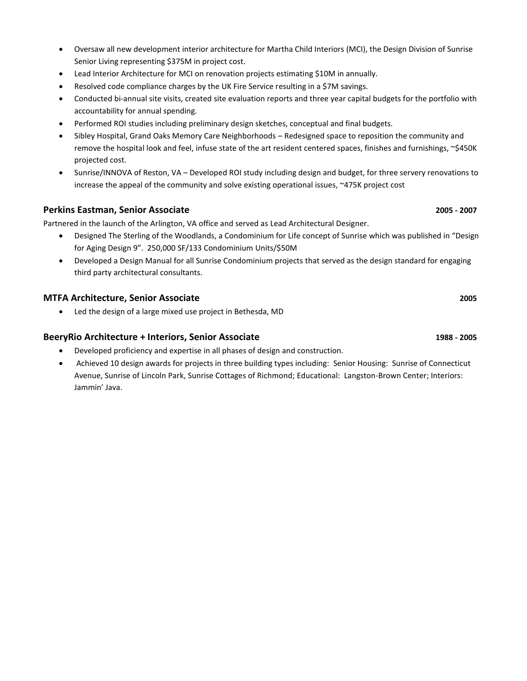- Oversaw all new development interior architecture for Martha Child Interiors (MCI), the Design Division of Sunrise Senior Living representing \$375M in project cost.
- Lead Interior Architecture for MCI on renovation projects estimating \$10M in annually.
- Resolved code compliance charges by the UK Fire Service resulting in a \$7M savings.
- Conducted bi-annual site visits, created site evaluation reports and three year capital budgets for the portfolio with accountability for annual spending.
- Performed ROI studies including preliminary design sketches, conceptual and final budgets.
- Sibley Hospital, Grand Oaks Memory Care Neighborhoods Redesigned space to reposition the community and remove the hospital look and feel, infuse state of the art resident centered spaces, finishes and furnishings, ~\$450K projected cost.
- Sunrise/INNOVA of Reston, VA Developed ROI study including design and budget, for three servery renovations to increase the appeal of the community and solve existing operational issues, ~475K project cost

### **Perkins Eastman, Senior Associate 2005 - 2007**

Partnered in the launch of the Arlington, VA office and served as Lead Architectural Designer.

- Designed The Sterling of the Woodlands, a Condominium for Life concept of Sunrise which was published in "Design for Aging Design 9". 250,000 SF/133 Condominium Units/\$50M
- Developed a Design Manual for all Sunrise Condominium projects that served as the design standard for engaging third party architectural consultants.

### **MTFA Architecture, Senior Associate 2005**

• Led the design of a large mixed use project in Bethesda, MD

### **BeeryRio Architecture + Interiors, Senior Associate 1988 - 2005**

- Developed proficiency and expertise in all phases of design and construction.
- Achieved 10 design awards for projects in three building types including: Senior Housing: Sunrise of Connecticut Avenue, Sunrise of Lincoln Park, Sunrise Cottages of Richmond; Educational: Langston-Brown Center; Interiors: Jammin' Java.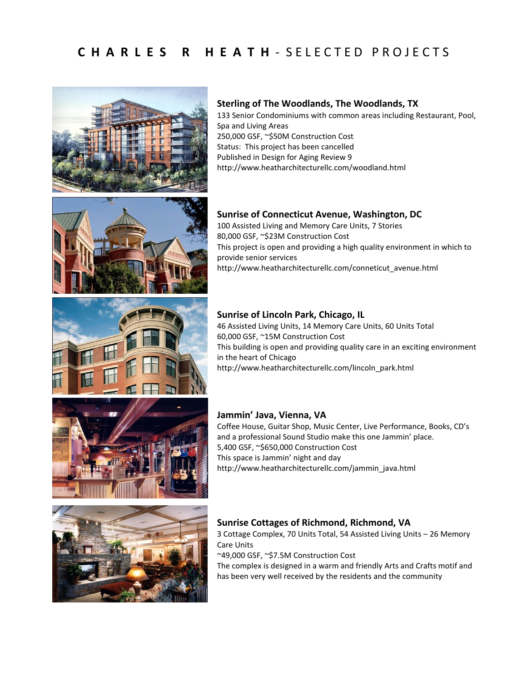



133 Senior Condominiums with common areas including Restaurant, Pool, Spa and Living Areas 250,000 GSF, ~\$50M Construction Cost Status: This project has been cancelled Published in Design for Aging Review 9 http://www.heatharchitecturellc.com/woodland.html

## **Sunrise of Connecticut Avenue, Washington, DC**

100 Assisted Living and Memory Care Units, 7 Stories 80,000 GSF, ~\$23M Construction Cost This project is open and providing a high quality environment in which to provide senior services http://www.heatharchitecturellc.com/conneticut\_avenue.html

## **Sunrise of Lincoln Park, Chicago, IL**

46 Assisted Living Units, 14 Memory Care Units, 60 Units Total 60,000 GSF, ~15M Construction Cost This building is open and providing quality care in an exciting environment in the heart of Chicago http://www.heatharchitecturellc.com/lincoln\_park.html

### **Jammin' Java, Vienna, VA**

Coffee House, Guitar Shop, Music Center, Live Performance, Books, CD's and a professional Sound Studio make this one Jammin' place. 5,400 GSF, ~\$650,000 Construction Cost This space is Jammin' night and day http://www.heatharchitecturellc.com/jammin\_java.html



## **Sunrise Cottages of Richmond, Richmond, VA**

3 Cottage Complex, 70 Units Total, 54 Assisted Living Units – 26 Memory Care Units

~49,000 GSF, ~\$7.5M Construction Cost

The complex is designed in a warm and friendly Arts and Crafts motif and has been very well received by the residents and the community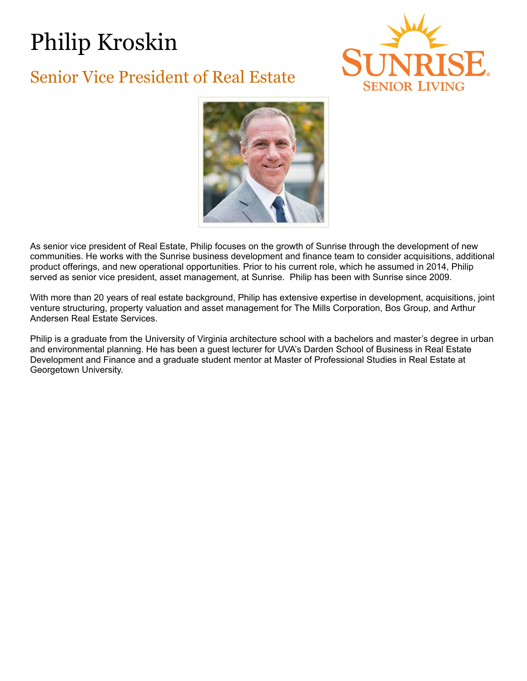# Philip Kroskin

# Senior Vice President of Real Estate





As senior vice president of Real Estate, Philip focuses on the growth of Sunrise through the development of new communities. He works with the Sunrise business development and finance team to consider acquisitions, additional product offerings, and new operational opportunities. Prior to his current role, which he assumed in 2014, Philip served as senior vice president, asset management, at Sunrise. Philip has been with Sunrise since 2009.

With more than 20 years of real estate background, Philip has extensive expertise in development, acquisitions, joint venture structuring, property valuation and asset management for The Mills Corporation, Bos Group, and Arthur Andersen Real Estate Services.

Philip is a graduate from the University of Virginia architecture school with a bachelors and master's degree in urban and environmental planning. He has been a guest lecturer for UVA's Darden School of Business in Real Estate Development and Finance and a graduate student mentor at Master of Professional Studies in Real Estate at Georgetown University.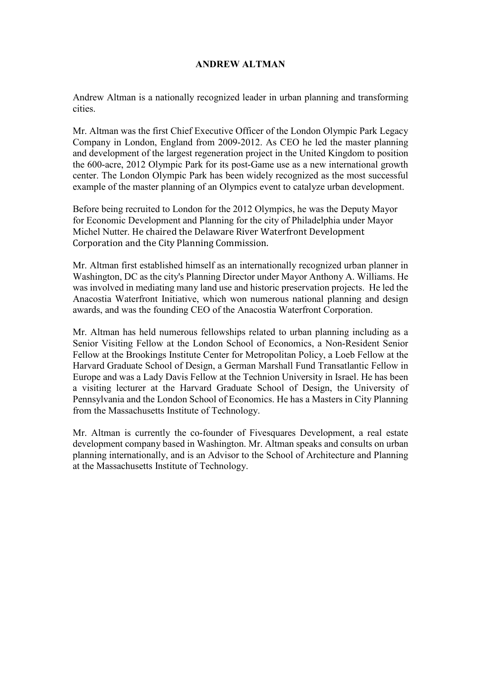### **ANDREW ALTMAN**

Andrew Altman is a nationally recognized leader in urban planning and transforming cities.

Mr. Altman was the first Chief Executive Officer of the London Olympic Park Legacy Company in London, England from 2009-2012. As CEO he led the master planning and development of the largest regeneration project in the United Kingdom to position the 600-acre, 2012 Olympic Park for its post-Game use as a new international growth center. The London Olympic Park has been widely recognized as the most successful example of the master planning of an Olympics event to catalyze urban development.

Before being recruited to London for the 2012 Olympics, he was the Deputy Mayor for Economic Development and Planning for the city of Philadelphia under Mayor Michel Nutter. He chaired the Delaware River Waterfront Development Corporation and the City Planning Commission.

Mr. Altman first established himself as an internationally recognized urban planner in Washington, DC as the city's Planning Director under Mayor Anthony A. Williams. He was involved in mediating many land use and historic preservation projects. He led the Anacostia Waterfront Initiative, which won numerous national planning and design awards, and was the founding CEO of the Anacostia Waterfront Corporation.

Mr. Altman has held numerous fellowships related to urban planning including as a Senior Visiting Fellow at the London School of Economics, a Non-Resident Senior Fellow at the Brookings Institute Center for Metropolitan Policy, a Loeb Fellow at the Harvard Graduate School of Design, a German Marshall Fund Transatlantic Fellow in Europe and was a Lady Davis Fellow at the Technion University in Israel. He has been a visiting lecturer at the Harvard Graduate School of Design, the University of Pennsylvania and the London School of Economics. He has a Masters in City Planning from the Massachusetts Institute of Technology.

Mr. Altman is currently the co-founder of Fivesquares Development, a real estate development company based in Washington. Mr. Altman speaks and consults on urban planning internationally, and is an Advisor to the School of Architecture and Planning at the Massachusetts Institute of Technology.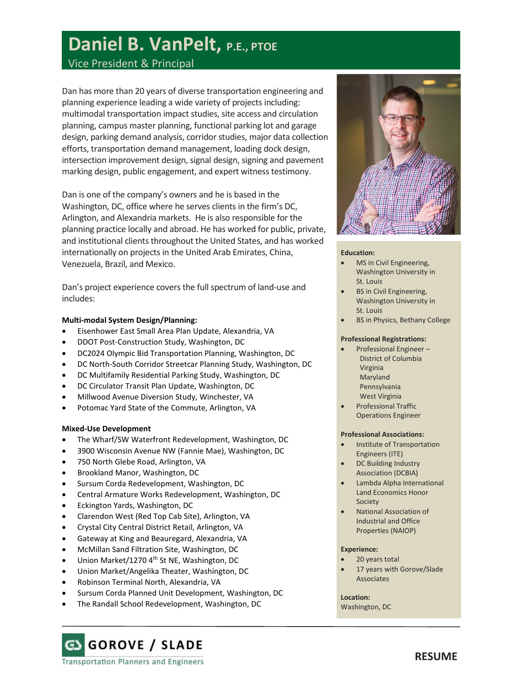# **Daniel B. VanPelt, P.E., PTOE**

## Vice President & Principal

Dan has more than 20 years of diverse transportation engineering and planning experience leading a wide variety of projects including: multimodal transportation impact studies, site access and circulation planning, campus master planning, functional parking lot and garage design, parking demand analysis, corridor studies, major data collection efforts, transportation demand management, loading dock design, intersection improvement design, signal design, signing and pavement marking design, public engagement, and expert witness testimony.

Dan is one of the company's owners and he is based in the Washington, DC, office where he serves clients in the firm's DC, Arlington, and Alexandria markets. He is also responsible for the planning practice locally and abroad. He has worked for public, private, and institutional clients throughout the United States, and has worked internationally on projects in the United Arab Emirates, China, Venezuela, Brazil, and Mexico.

Dan's project experience covers the full spectrum of land-use and includes:

### **Multi-modal System Design/Planning:**

- Eisenhower East Small Area Plan Update, Alexandria, VA
- DDOT Post-Construction Study, Washington, DC
- DC2024 Olympic Bid Transportation Planning, Washington, DC
- DC North-South Corridor Streetcar Planning Study, Washington, DC
- DC Multifamily Residential Parking Study, Washington, DC
- DC Circulator Transit Plan Update, Washington, DC
- Millwood Avenue Diversion Study, Winchester, VA
- Potomac Yard State of the Commute, Arlington, VA

### **Mixed-Use Development**

- The Wharf/SW Waterfront Redevelopment, Washington, DC
- 3900 Wisconsin Avenue NW (Fannie Mae), Washington, DC
- 750 North Glebe Road, Arlington, VA
- Brookland Manor, Washington, DC
- Sursum Corda Redevelopment, Washington, DC
- Central Armature Works Redevelopment, Washington, DC
- Eckington Yards, Washington, DC
- Clarendon West (Red Top Cab Site), Arlington, VA
- Crystal City Central District Retail, Arlington, VA
- Gateway at King and Beauregard, Alexandria, VA
- McMillan Sand Filtration Site, Washington, DC
- Union Market/1270 4<sup>th</sup> St NE, Washington, DC
- Union Market/Angelika Theater, Washington, DC
- Robinson Terminal North, Alexandria, VA
- Sursum Corda Planned Unit Development, Washington, DC
- The Randall School Redevelopment, Washington, DC



### **Education:**

- MS in Civil Engineering, Washington University in St. Louis
- BS in Civil Engineering, Washington University in St. Louis
- BS in Physics, Bethany College

### **Professional Registrations:**

- Professional Engineer District of Columbia Virginia Maryland Pennsylvania West Virginia
- Professional Traffic Operations Engineer

### **Professional Associations:**

- Institute of Transportation Engineers (ITE)
- DC Building Industry Association (DCBIA)
- Lambda Alpha International Land Economics Honor Society
- National Association of Industrial and Office Properties (NAIOP)

### **Experience:**

- 20 years total
- 17 years with Gorove/Slade Associates

### **Location:**

Washington, DC